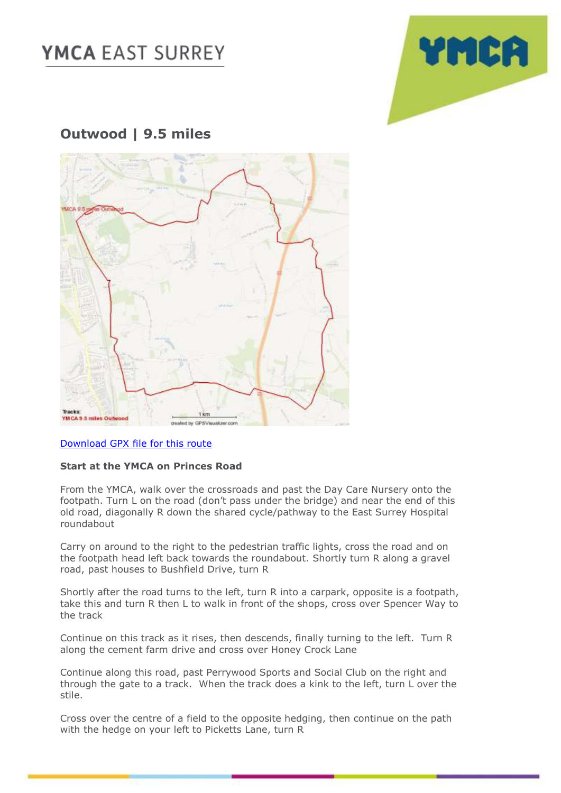# **YMCA EAST SURREY**



### **Outwood | 9.5 miles**



#### [Download GPX file for this route](https://ymcaeastsurrey-my.sharepoint.com/:u:/g/personal/caroline_jones_ymcaeastsurrey_org_uk/EbCaDiTEtW1Grk-_otprCCUBGnAJUvb0IB1yMavj88xlSg?e=dfNDYU)

#### **Start at the YMCA on Princes Road**

From the YMCA, walk over the crossroads and past the Day Care Nursery onto the footpath. Turn L on the road (don't pass under the bridge) and near the end of this old road, diagonally R down the shared cycle/pathway to the East Surrey Hospital roundabout

Carry on around to the right to the pedestrian traffic lights, cross the road and on the footpath head left back towards the roundabout. Shortly turn R along a gravel road, past houses to Bushfield Drive, turn R

Shortly after the road turns to the left, turn R into a carpark, opposite is a footpath, take this and turn R then L to walk in front of the shops, cross over Spencer Way to the track

Continue on this track as it rises, then descends, finally turning to the left. Turn R along the cement farm drive and cross over Honey Crock Lane

Continue along this road, past Perrywood Sports and Social Club on the right and through the gate to a track. When the track does a kink to the left, turn L over the stile.

Cross over the centre of a field to the opposite hedging, then continue on the path with the hedge on your left to Picketts Lane, turn R